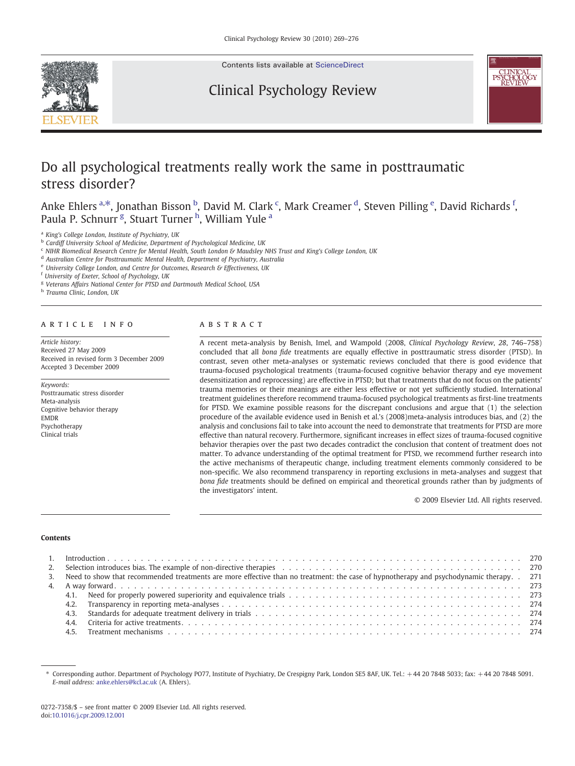

Contents lists available at [ScienceDirect](http://www.sciencedirect.com/science/journal/02727358)

## Clinical Psychology Review



# Do all psychological treatments really work the same in posttraumatic stress disorder?

## Anke Ehlers <sup>a,\*</sup>, Jonathan Bisson <sup>b</sup>, David M. Clark <sup>c</sup>, Mark Creamer <sup>d</sup>, Steven Pilling <sup>e</sup>, David Richards <sup>f</sup>, Paula P. Schnurr <sup>g</sup>, Stuart Turner <sup>h</sup>, William Yule <sup>a</sup>

<sup>a</sup> King's College London, Institute of Psychiatry, UK

**b** Cardiff University School of Medicine, Department of Psychological Medicine, UK

<sup>c</sup> NIHR Biomedical Research Centre for Mental Health, South London & Maudsley NHS Trust and King's College London, UK

<sup>d</sup> Australian Centre for Posttraumatic Mental Health, Department of Psychiatry, Australia

 $e$  University College London, and Centre for Outcomes, Research & Effectiveness, UK

<sup>f</sup> University of Exeter, School of Psychology, UK

<sup>g</sup> Veterans Affairs National Center for PTSD and Dartmouth Medical School, USA

h Trauma Clinic, London, UK

#### article info abstract

Article history: Received 27 May 2009 Received in revised form 3 December 2009 Accepted 3 December 2009

Keywords: Posttraumatic stress disorder Meta-analysis Cognitive behavior therapy EMDR Psychotherapy Clinical trials

A recent meta-analysis by Benish, Imel, and Wampold (2008, Clinical Psychology Review, 28, 746–758) concluded that all bona fide treatments are equally effective in posttraumatic stress disorder (PTSD). In contrast, seven other meta-analyses or systematic reviews concluded that there is good evidence that trauma-focused psychological treatments (trauma-focused cognitive behavior therapy and eye movement desensitization and reprocessing) are effective in PTSD; but that treatments that do not focus on the patients' trauma memories or their meanings are either less effective or not yet sufficiently studied. International treatment guidelines therefore recommend trauma-focused psychological treatments as first-line treatments for PTSD. We examine possible reasons for the discrepant conclusions and argue that (1) the selection procedure of the available evidence used in Benish et al.'s (2008)meta-analysis introduces bias, and (2) the analysis and conclusions fail to take into account the need to demonstrate that treatments for PTSD are more effective than natural recovery. Furthermore, significant increases in effect sizes of trauma-focused cognitive behavior therapies over the past two decades contradict the conclusion that content of treatment does not matter. To advance understanding of the optimal treatment for PTSD, we recommend further research into the active mechanisms of therapeutic change, including treatment elements commonly considered to be non-specific. We also recommend transparency in reporting exclusions in meta-analyses and suggest that bona fide treatments should be defined on empirical and theoretical grounds rather than by judgments of the investigators' intent.

© 2009 Elsevier Ltd. All rights reserved.

#### **Contents**

|  | 3. Need to show that recommended treatments are more effective than no treatment: the case of hypnotherapy and psychodynamic therapy. . 271 |  |
|--|---------------------------------------------------------------------------------------------------------------------------------------------|--|
|  |                                                                                                                                             |  |

<sup>⁎</sup> Corresponding author. Department of Psychology PO77, Institute of Psychiatry, De Crespigny Park, London SE5 8AF, UK. Tel.: +44 20 7848 5033; fax: +44 20 7848 5091. E-mail address: [anke.ehlers@kcl.ac.uk](mailto:anke.ehlers@kcl.ac.uk) (A. Ehlers).

<sup>0272-7358/\$</sup> – see front matter © 2009 Elsevier Ltd. All rights reserved. doi:[10.1016/j.cpr.2009.12.001](http://dx.doi.org/10.1016/j.cpr.2009.12.001)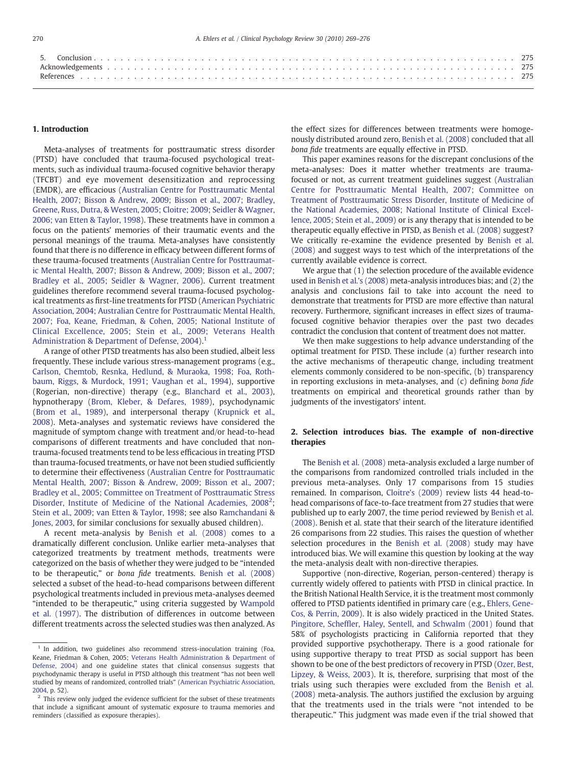#### 1. Introduction

Meta-analyses of treatments for posttraumatic stress disorder (PTSD) have concluded that trauma-focused psychological treatments, such as individual trauma-focused cognitive behavior therapy (TFCBT) and eye movement desensitization and reprocessing (EMDR), are efficacious [\(Australian Centre for Posttraumatic Mental](#page-6-0) [Health, 2007; Bisson & Andrew, 2009; Bisson et al., 2007; Bradley,](#page-6-0) [Greene, Russ, Dutra, & Westen, 2005; Cloitre; 2009; Seidler & Wagner,](#page-6-0) [2006; van Etten & Taylor, 1998\)](#page-6-0). These treatments have in common a focus on the patients' memories of their traumatic events and the personal meanings of the trauma. Meta-analyses have consistently found that there is no difference in efficacy between different forms of these trauma-focused treatments ([Australian Centre for Posttraumat](#page-6-0)[ic Mental Health, 2007; Bisson & Andrew, 2009; Bisson et al., 2007;](#page-6-0) [Bradley et al., 2005; Seidler & Wagner, 2006](#page-6-0)). Current treatment guidelines therefore recommend several trauma-focused psychological treatments as first-line treatments for PTSD ([American Psychiatric](#page-6-0) [Association, 2004; Australian Centre for Posttraumatic Mental Health,](#page-6-0) [2007; Foa, Keane, Friedman, & Cohen, 2005; National Institute of](#page-6-0) [Clinical Excellence, 2005; Stein et al., 2009; Veterans Health](#page-6-0) [Administration & Department of Defense, 2004\)](#page-6-0).<sup>1</sup>

A range of other PTSD treatments has also been studied, albeit less frequently. These include various stress-management programs (e.g., [Carlson, Chemtob, Resnka, Hedlund, & Muraoka, 1998; Foa, Roth](#page-6-0)[baum, Riggs, & Murdock, 1991; Vaughan et al., 1994\)](#page-6-0), supportive (Rogerian, non-directive) therapy (e.g., [Blanchard et al., 2003](#page-6-0)), hypnotherapy ([Brom, Kleber, & Defares, 1989\)](#page-6-0), psychodynamic [\(Brom et al., 1989\)](#page-6-0), and interpersonal therapy [\(Krupnick et al.,](#page-7-0) [2008\)](#page-7-0). Meta-analyses and systematic reviews have considered the magnitude of symptom change with treatment and/or head-to-head comparisons of different treatments and have concluded that nontrauma-focused treatments tend to be less efficacious in treating PTSD than trauma-focused treatments, or have not been studied sufficiently to determine their effectiveness ([Australian Centre for Posttraumatic](#page-6-0) [Mental Health, 2007; Bisson & Andrew, 2009; Bisson et al., 2007;](#page-6-0) [Bradley et al., 2005; Committee on Treatment of Posttraumatic Stress](#page-6-0) Disorder, Institute of Medicine of the National Academies,  $2008^2$ ; [Stein et al., 2009; van Etten & Taylor, 1998;](#page-7-0) see also [Ramchandani &](#page-7-0) [Jones, 2003](#page-7-0), for similar conclusions for sexually abused children).

A recent meta-analysis by [Benish et al. \(2008\)](#page-6-0) comes to a dramatically different conclusion. Unlike earlier meta-analyses that categorized treatments by treatment methods, treatments were categorized on the basis of whether they were judged to be "intended to be therapeutic," or bona fide treatments. [Benish et al. \(2008\)](#page-6-0) selected a subset of the head-to-head comparisons between different psychological treatments included in previous meta-analyses deemed "intended to be therapeutic," using criteria suggested by [Wampold](#page-7-0) [et al. \(1997\)](#page-7-0). The distribution of differences in outcome between different treatments across the selected studies was then analyzed. As

the effect sizes for differences between treatments were homogenously distributed around zero, [Benish et al. \(2008\)](#page-6-0) concluded that all bona fide treatments are equally effective in PTSD.

This paper examines reasons for the discrepant conclusions of the meta-analyses: Does it matter whether treatments are traumafocused or not, as current treatment guidelines suggest ([Australian](#page-6-0) [Centre for Posttraumatic Mental Health, 2007; Committee on](#page-6-0) [Treatment of Posttraumatic Stress Disorder, Institute of Medicine of](#page-6-0) [the National Academies, 2008; National Institute of Clinical Excel](#page-6-0)[lence, 2005; Stein et al., 2009](#page-6-0)) or is any therapy that is intended to be therapeutic equally effective in PTSD, as [Benish et al. \(2008\)](#page-6-0) suggest? We critically re-examine the evidence presented by [Benish et al.](#page-6-0) [\(2008\)](#page-6-0) and suggest ways to test which of the interpretations of the currently available evidence is correct.

We argue that  $(1)$  the selection procedure of the available evidence used in [Benish et al.'s \(2008\)](#page-6-0) meta-analysis introduces bias; and (2) the analysis and conclusions fail to take into account the need to demonstrate that treatments for PTSD are more effective than natural recovery. Furthermore, significant increases in effect sizes of traumafocused cognitive behavior therapies over the past two decades contradict the conclusion that content of treatment does not matter.

We then make suggestions to help advance understanding of the optimal treatment for PTSD. These include (a) further research into the active mechanisms of therapeutic change, including treatment elements commonly considered to be non-specific, (b) transparency in reporting exclusions in meta-analyses, and (c) defining bona fide treatments on empirical and theoretical grounds rather than by judgments of the investigators' intent.

### 2. Selection introduces bias. The example of non-directive therapies

The [Benish et al. \(2008\)](#page-6-0) meta-analysis excluded a large number of the comparisons from randomized controlled trials included in the previous meta-analyses. Only 17 comparisons from 15 studies remained. In comparison, [Cloitre's \(2009\)](#page-6-0) review lists 44 head-tohead comparisons of face-to-face treatment from 27 studies that were published up to early 2007, the time period reviewed by [Benish et al.](#page-6-0) [\(2008\).](#page-6-0) Benish et al. state that their search of the literature identified 26 comparisons from 22 studies. This raises the question of whether selection procedures in the [Benish et al. \(2008\)](#page-6-0) study may have introduced bias. We will examine this question by looking at the way the meta-analysis dealt with non-directive therapies.

Supportive (non-directive, Rogerian, person-centered) therapy is currently widely offered to patients with PTSD in clinical practice. In the British National Health Service, it is the treatment most commonly offered to PTSD patients identified in primary care (e.g., [Ehlers, Gene-](#page-6-0)[Cos, & Perrin, 2009](#page-6-0)). It is also widely practiced in the United States. Pingitore, Scheffl[er, Haley, Sentell, and Schwalm \(2001\)](#page-7-0) found that 58% of psychologists practicing in California reported that they provided supportive psychotherapy. There is a good rationale for using supportive therapy to treat PTSD as social support has been shown to be one of the best predictors of recovery in PTSD [\(Ozer, Best,](#page-7-0) [Lipzey, & Weiss, 2003](#page-7-0)). It is, therefore, surprising that most of the trials using such therapies were excluded from the [Benish et al.](#page-6-0) [\(2008\)](#page-6-0) meta-analysis. The authors justified the exclusion by arguing that the treatments used in the trials were "not intended to be therapeutic." This judgment was made even if the trial showed that

<sup>&</sup>lt;sup>1</sup> In addition, two guidelines also recommend stress-inoculation training (Foa, Keane, Friedman & Cohen, 2005; [Veterans Health Administration & Department of](#page-7-0) [Defense, 2004\)](#page-7-0) and one guideline states that clinical consensus suggests that psychodynamic therapy is useful in PTSD although this treatment "has not been well studied by means of randomized, controlled trials" ([American Psychiatric Association,](#page-6-0) [2004](#page-6-0), p. 52).

 $2$  This review only judged the evidence sufficient for the subset of these treatments that include a significant amount of systematic exposure to trauma memories and reminders (classified as exposure therapies).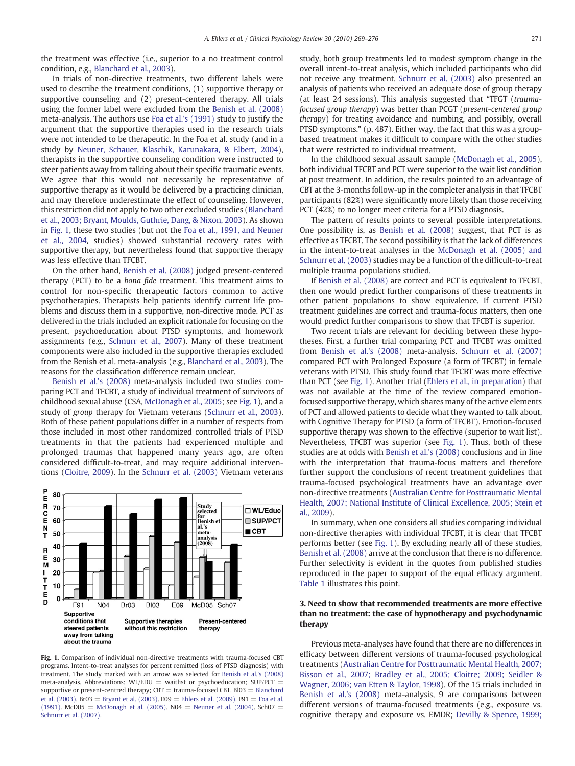the treatment was effective (i.e., superior to a no treatment control condition, e.g., [Blanchard et al., 2003](#page-6-0)).

In trials of non-directive treatments, two different labels were used to describe the treatment conditions, (1) supportive therapy or supportive counseling and (2) present-centered therapy. All trials using the former label were excluded from the [Benish et al. \(2008\)](#page-6-0) meta-analysis. The authors use [Foa et al.'s \(1991\)](#page-6-0) study to justify the argument that the supportive therapies used in the research trials were not intended to be therapeutic. In the Foa et al. study (and in a study by [Neuner, Schauer, Klaschik, Karunakara, & Elbert, 2004](#page-7-0)), therapists in the supportive counseling condition were instructed to steer patients away from talking about their specific traumatic events. We agree that this would not necessarily be representative of supportive therapy as it would be delivered by a practicing clinician, and may therefore underestimate the effect of counseling. However, this restriction did not apply to two other excluded studies [\(Blanchard](#page-6-0) [et al., 2003; Bryant, Moulds, Guthrie, Dang, & Nixon, 2003](#page-6-0)). As shown in Fig. 1, these two studies (but not the [Foa et al., 1991, and Neuner](#page-6-0) [et al., 2004,](#page-6-0) studies) showed substantial recovery rates with supportive therapy, but nevertheless found that supportive therapy was less effective than TFCBT.

On the other hand, [Benish et al. \(2008\)](#page-6-0) judged present-centered therapy (PCT) to be a bona fide treatment. This treatment aims to control for non-specific therapeutic factors common to active psychotherapies. Therapists help patients identify current life problems and discuss them in a supportive, non-directive mode. PCT as delivered in the trials included an explicit rationale for focusing on the present, psychoeducation about PTSD symptoms, and homework assignments (e.g., [Schnurr et al., 2007\)](#page-7-0). Many of these treatment components were also included in the supportive therapies excluded from the Benish et al. meta-analysis (e.g., [Blanchard et al., 2003\)](#page-6-0). The reasons for the classification difference remain unclear.

[Benish et al.'s \(2008\)](#page-6-0) meta-analysis included two studies comparing PCT and TFCBT, a study of individual treatment of survivors of childhood sexual abuse (CSA, [McDonagh et al., 2005;](#page-7-0) see Fig. 1), and a study of group therapy for Vietnam veterans [\(Schnurr et al., 2003](#page-7-0)). Both of these patient populations differ in a number of respects from those included in most other randomized controlled trials of PTSD treatments in that the patients had experienced multiple and prolonged traumas that happened many years ago, are often considered difficult-to-treat, and may require additional interventions [\(Cloitre, 2009](#page-6-0)). In the [Schnurr et al. \(2003\)](#page-7-0) Vietnam veterans



Fig. 1. Comparison of individual non-directive treatments with trauma-focused CBT programs. Intent-to-treat analyses for percent remitted (loss of PTSD diagnosis) with treatment. The study marked with an arrow was selected for [Benish et al.'s \(2008\)](#page-6-0) meta-analysis. Abbreviations: WL/EDU = waitlist or psychoeducation; SUP/PCT = supportive or present-centred therapy; CBT = trauma-focused CBT. Bl03 = [Blanchard](#page-6-0) [et al. \(2003\).](#page-6-0) Br03 = [Bryant et al. \(2003\)](#page-6-0). E09 = [Ehlers et al. \(2009\)](#page-6-0). F91 = [Foa et al.](#page-6-0) [\(1991\).](#page-6-0) McD05 = [McDonagh et al. \(2005\)](#page-7-0).  $N04$  = [Neuner et al. \(2004\)](#page-7-0). Sch07 = [Schnurr et al. \(2007\).](#page-7-0)

study, both group treatments led to modest symptom change in the overall intent-to-treat analysis, which included participants who did not receive any treatment. [Schnurr et al. \(2003\)](#page-7-0) also presented an analysis of patients who received an adequate dose of group therapy (at least 24 sessions). This analysis suggested that "TFGT (traumafocused group therapy) was better than PCGT (present-centered group therapy) for treating avoidance and numbing, and possibly, overall PTSD symptoms." (p. 487). Either way, the fact that this was a groupbased treatment makes it difficult to compare with the other studies that were restricted to individual treatment.

In the childhood sexual assault sample [\(McDonagh et al., 2005](#page-7-0)), both individual TFCBT and PCT were superior to the wait list condition at post treatment. In addition, the results pointed to an advantage of CBT at the 3-months follow-up in the completer analysis in that TFCBT participants (82%) were significantly more likely than those receiving PCT (42%) to no longer meet criteria for a PTSD diagnosis.

The pattern of results points to several possible interpretations. One possibility is, as [Benish et al. \(2008\)](#page-6-0) suggest, that PCT is as effective as TFCBT. The second possibility is that the lack of differences in the intent-to-treat analyses in the [McDonagh et al. \(2005\) and](#page-7-0) [Schnurr et al. \(2003\)](#page-7-0) studies may be a function of the difficult-to-treat multiple trauma populations studied.

If [Benish et al. \(2008\)](#page-6-0) are correct and PCT is equivalent to TFCBT, then one would predict further comparisons of these treatments in other patient populations to show equivalence. If current PTSD treatment guidelines are correct and trauma-focus matters, then one would predict further comparisons to show that TFCBT is superior.

Two recent trials are relevant for deciding between these hypotheses. First, a further trial comparing PCT and TFCBT was omitted from [Benish et al.'s \(2008\)](#page-6-0) meta-analysis. [Schnurr et al. \(2007\)](#page-7-0) compared PCT with Prolonged Exposure (a form of TFCBT) in female veterans with PTSD. This study found that TFCBT was more effective than PCT (see Fig. 1). Another trial [\(Ehlers et al., in preparation](#page-6-0)) that was not available at the time of the review compared emotionfocused supportive therapy, which shares many of the active elements of PCT and allowed patients to decide what they wanted to talk about, with Cognitive Therapy for PTSD (a form of TFCBT). Emotion-focused supportive therapy was shown to the effective (superior to wait list). Nevertheless, TFCBT was superior (see Fig. 1). Thus, both of these studies are at odds with [Benish et al.'s \(2008\)](#page-6-0) conclusions and in line with the interpretation that trauma-focus matters and therefore further support the conclusions of recent treatment guidelines that trauma-focused psychological treatments have an advantage over non-directive treatments ([Australian Centre for Posttraumatic Mental](#page-6-0) [Health, 2007; National Institute of Clinical Excellence, 2005; Stein et](#page-6-0) [al., 2009](#page-6-0)).

In summary, when one considers all studies comparing individual non-directive therapies with individual TFCBT, it is clear that TFCBT performs better (see Fig. 1). By excluding nearly all of these studies, [Benish et al. \(2008\)](#page-6-0) arrive at the conclusion that there is no difference. Further selectivity is evident in the quotes from published studies reproduced in the paper to support of the equal efficacy argument. [Table 1](#page-3-0) illustrates this point.

#### 3. Need to show that recommended treatments are more effective than no treatment: the case of hypnotherapy and psychodynamic therapy

Previous meta-analyses have found that there are no differences in efficacy between different versions of trauma-focused psychological treatments ([Australian Centre for Posttraumatic Mental Health, 2007;](#page-6-0) [Bisson et al., 2007; Bradley et al., 2005; Cloitre; 2009; Seidler &](#page-6-0) [Wagner, 2006; van Etten & Taylor, 1998](#page-6-0)). Of the 15 trials included in [Benish et al.'s \(2008\)](#page-6-0) meta-analysis, 9 are comparisons between different versions of trauma-focused treatments (e.g., exposure vs. cognitive therapy and exposure vs. EMDR; [Devilly & Spence, 1999;](#page-6-0)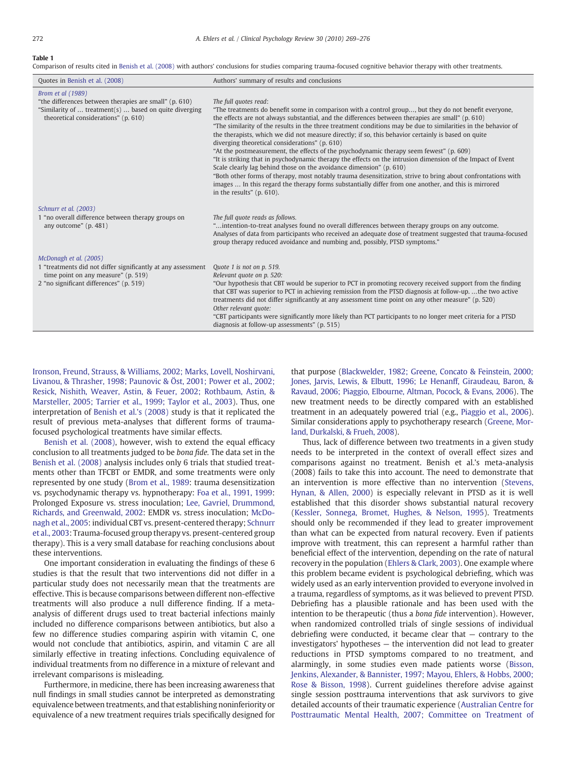#### <span id="page-3-0"></span>Table 1

Comparison of results cited in [Benish et al. \(2008\)](#page-6-0) with authors' conclusions for studies comparing trauma-focused cognitive behavior therapy with other treatments.

| Quotes in Benish et al. (2008)                                                                                                                                                       | Authors' summary of results and conclusions                                                                                                                                                                                                                                                                                                                                                                                                                                                                                                                                                                                                                                                                                                                                                                                                                                                                                                                                                                                                             |
|--------------------------------------------------------------------------------------------------------------------------------------------------------------------------------------|---------------------------------------------------------------------------------------------------------------------------------------------------------------------------------------------------------------------------------------------------------------------------------------------------------------------------------------------------------------------------------------------------------------------------------------------------------------------------------------------------------------------------------------------------------------------------------------------------------------------------------------------------------------------------------------------------------------------------------------------------------------------------------------------------------------------------------------------------------------------------------------------------------------------------------------------------------------------------------------------------------------------------------------------------------|
| <b>Brom et al (1989)</b><br>"the differences between therapies are small" (p. 610)<br>"Similarity of  treatment(s)  based on quite diverging<br>theoretical considerations" (p. 610) | The full quotes read:<br>"The treatments do benefit some in comparison with a control group, but they do not benefit everyone,<br>the effects are not always substantial, and the differences between therapies are small" (p. 610)<br>"The similarity of the results in the three treatment conditions may be due to similarities in the behavior of<br>the therapists, which we did not measure directly; if so, this behavior certainly is based on quite<br>diverging theoretical considerations" (p. 610)<br>"At the postmeasurement, the effects of the psychodynamic therapy seem fewest" (p. 609)<br>"It is striking that in psychodynamic therapy the effects on the intrusion dimension of the Impact of Event<br>Scale clearly lag behind those on the avoidance dimension" (p. 610)<br>"Both other forms of therapy, most notably trauma desensitization, strive to bring about confrontations with<br>images  In this regard the therapy forms substantially differ from one another, and this is mirrored<br>in the results" $(p. 610)$ . |
| Schnurr et al. (2003)<br>1 "no overall difference between therapy groups on<br>any outcome" (p. 481)                                                                                 | The full quote reads as follows.<br>"intention-to-treat analyses found no overall differences between therapy groups on any outcome.<br>Analyses of data from participants who received an adequate dose of treatment suggested that trauma-focused<br>group therapy reduced avoidance and numbing and, possibly, PTSD symptoms."                                                                                                                                                                                                                                                                                                                                                                                                                                                                                                                                                                                                                                                                                                                       |
| McDonagh et al. (2005)<br>1 "treatments did not differ significantly at any assessment<br>time point on any measure" (p. 519)<br>2 "no significant differences" (p. 519)             | Quote 1 is not on p. 519.<br>Relevant quote on p. 520:<br>"Our hypothesis that CBT would be superior to PCT in promoting recovery received support from the finding<br>that CBT was superior to PCT in achieving remission from the PTSD diagnosis at follow-up, the two active<br>treatments did not differ significantly at any assessment time point on any other measure" (p. 520)<br>Other relevant quote:<br>"CBT participants were significantly more likely than PCT participants to no longer meet criteria for a PTSD<br>diagnosis at follow-up assessments" (p. 515)                                                                                                                                                                                                                                                                                                                                                                                                                                                                         |

[Ironson, Freund, Strauss, & Williams, 2002; Marks, Lovell, Noshirvani,](#page-6-0) [Livanou, & Thrasher, 1998; Paunovic & Öst, 2001;](#page-6-0) [Power et al., 2002;](#page-7-0) [Resick, Nishith, Weaver, Astin, & Feuer, 2002; Rothbaum, Astin, &](#page-7-0) [Marsteller, 2005; Tarrier et al., 1999; Taylor et al., 2003\)](#page-7-0). Thus, one interpretation of [Benish et al.'s \(2008\)](#page-6-0) study is that it replicated the result of previous meta-analyses that different forms of traumafocused psychological treatments have similar effects.

[Benish et al. \(2008\)](#page-6-0), however, wish to extend the equal efficacy conclusion to all treatments judged to be bona fide. The data set in the [Benish et al. \(2008\)](#page-6-0) analysis includes only 6 trials that studied treatments other than TFCBT or EMDR, and some treatments were only represented by one study [\(Brom et al., 1989:](#page-6-0) trauma desensitization vs. psychodynamic therapy vs. hypnotherapy: [Foa et al., 1991, 1999](#page-6-0): Prolonged Exposure vs. stress inoculation; [Lee, Gavriel, Drummond,](#page-7-0) [Richards, and Greenwald, 2002](#page-7-0): EMDR vs. stress inoculation; [McDo](#page-7-0)[nagh et al., 2005](#page-7-0): individual CBT vs. present-centered therapy; [Schnurr](#page-7-0) [et al., 2003:](#page-7-0) Trauma-focused group therapy vs. present-centered group therapy). This is a very small database for reaching conclusions about these interventions.

One important consideration in evaluating the findings of these 6 studies is that the result that two interventions did not differ in a particular study does not necessarily mean that the treatments are effective. This is because comparisons between different non-effective treatments will also produce a null difference finding. If a metaanalysis of different drugs used to treat bacterial infections mainly included no difference comparisons between antibiotics, but also a few no difference studies comparing aspirin with vitamin C, one would not conclude that antibiotics, aspirin, and vitamin C are all similarly effective in treating infections. Concluding equivalence of individual treatments from no difference in a mixture of relevant and irrelevant comparisons is misleading.

Furthermore, in medicine, there has been increasing awareness that null findings in small studies cannot be interpreted as demonstrating equivalence between treatments, and that establishing noninferiority or equivalence of a new treatment requires trials specifically designed for

that purpose [\(Blackwelder, 1982; Greene, Concato & Feinstein, 2000;](#page-6-0) [Jones, Jarvis, Lewis, & Elbutt, 1996; Le Henanff, Giraudeau, Baron, &](#page-6-0) [Ravaud, 2006; Piaggio, Elbourne, Altman, Pocock, & Evans, 2006\)](#page-6-0). The new treatment needs to be directly compared with an established treatment in an adequately powered trial (e.g., [Piaggio et al., 2006\)](#page-7-0). Similar considerations apply to psychotherapy research [\(Greene, Mor](#page-6-0)[land, Durkalski, & Frueh, 2008](#page-6-0)).

Thus, lack of difference between two treatments in a given study needs to be interpreted in the context of overall effect sizes and comparisons against no treatment. Benish et al.'s meta-analysis (2008) fails to take this into account. The need to demonstrate that an intervention is more effective than no intervention [\(Stevens,](#page-7-0) [Hynan, & Allen, 2000](#page-7-0)) is especially relevant in PTSD as it is well established that this disorder shows substantial natural recovery [\(Kessler, Sonnega, Bromet, Hughes, & Nelson, 1995\)](#page-7-0). Treatments should only be recommended if they lead to greater improvement than what can be expected from natural recovery. Even if patients improve with treatment, this can represent a harmful rather than beneficial effect of the intervention, depending on the rate of natural recovery in the population ([Ehlers & Clark, 2003\)](#page-6-0). One example where this problem became evident is psychological debriefing, which was widely used as an early intervention provided to everyone involved in a trauma, regardless of symptoms, as it was believed to prevent PTSD. Debriefing has a plausible rationale and has been used with the intention to be therapeutic (thus a bona fide intervention). However, when randomized controlled trials of single sessions of individual debriefing were conducted, it became clear that — contrary to the investigators' hypotheses — the intervention did not lead to greater reductions in PTSD symptoms compared to no treatment, and alarmingly, in some studies even made patients worse ([Bisson,](#page-6-0) [Jenkins, Alexander, & Bannister, 1997; Mayou, Ehlers, & Hobbs, 2000;](#page-6-0) [Rose & Bisson, 1998\)](#page-6-0). Current guidelines therefore advise against single session posttrauma interventions that ask survivors to give detailed accounts of their traumatic experience ([Australian Centre for](#page-6-0) [Posttraumatic Mental Health, 2007; Committee on Treatment of](#page-6-0)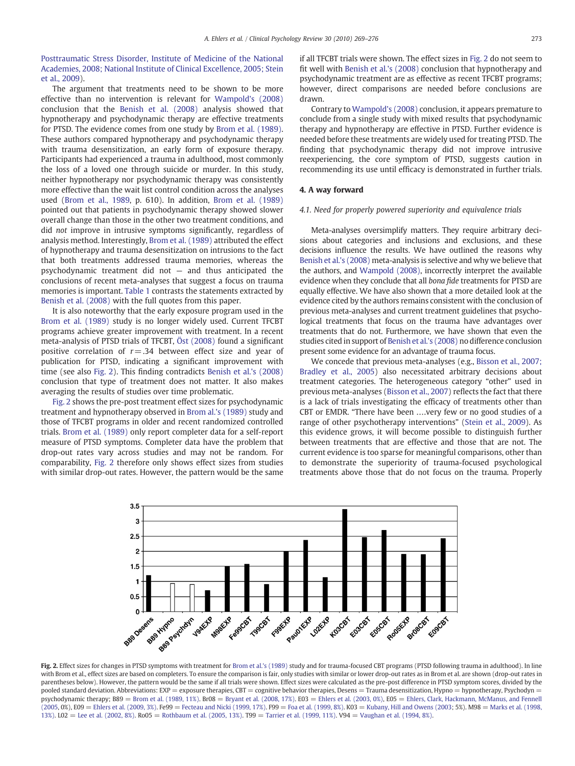[Posttraumatic Stress Disorder, Institute of Medicine of the National](#page-6-0) [Academies, 2008; National Institute of Clinical Excellence, 2005; Stein](#page-6-0)  $et al. 2009$ 

The argument that treatments need to be shown to be more effective than no intervention is relevant for [Wampold's \(2008\)](#page-7-0) conclusion that the [Benish et al. \(2008\)](#page-6-0) analysis showed that hypnotherapy and psychodynamic therapy are effective treatments for PTSD. The evidence comes from one study by [Brom et al. \(1989\).](#page-6-0) These authors compared hypnotherapy and psychodynamic therapy with trauma desensitization, an early form of exposure therapy. Participants had experienced a trauma in adulthood, most commonly the loss of a loved one through suicide or murder. In this study, neither hypnotherapy nor psychodynamic therapy was consistently more effective than the wait list control condition across the analyses used [\(Brom et al., 1989](#page-6-0), p. 610). In addition, [Brom et al. \(1989\)](#page-6-0) pointed out that patients in psychodynamic therapy showed slower overall change than those in the other two treatment conditions, and did not improve in intrusive symptoms significantly, regardless of analysis method. Interestingly, [Brom et al. \(1989\)](#page-6-0) attributed the effect of hypnotherapy and trauma desensitization on intrusions to the fact that both treatments addressed trauma memories, whereas the psychodynamic treatment did not — and thus anticipated the conclusions of recent meta-analyses that suggest a focus on trauma memories is important. [Table 1](#page-3-0) contrasts the statements extracted by [Benish et al. \(2008\)](#page-6-0) with the full quotes from this paper.

It is also noteworthy that the early exposure program used in the [Brom et al. \(1989\)](#page-6-0) study is no longer widely used. Current TFCBT programs achieve greater improvement with treatment. In a recent meta-analysis of PTSD trials of TFCBT, [Öst \(2008\)](#page-7-0) found a significant positive correlation of  $r = 0.34$  between effect size and year of publication for PTSD, indicating a significant improvement with time (see also Fig. 2). This finding contradicts [Benish et al.'s \(2008\)](#page-6-0) conclusion that type of treatment does not matter. It also makes averaging the results of studies over time problematic.

Fig. 2 shows the pre-post treatment effect sizes for psychodynamic treatment and hypnotherapy observed in [Brom al.'s \(1989\)](#page-6-0) study and those of TFCBT programs in older and recent randomized controlled trials. [Brom et al. \(1989\)](#page-6-0) only report completer data for a self-report measure of PTSD symptoms. Completer data have the problem that drop-out rates vary across studies and may not be random. For comparability, Fig. 2 therefore only shows effect sizes from studies with similar drop-out rates. However, the pattern would be the same if all TFCBT trials were shown. The effect sizes in Fig. 2 do not seem to fit well with [Benish et al.'s \(2008\)](#page-6-0) conclusion that hypnotherapy and psychodynamic treatment are as effective as recent TFCBT programs; however, direct comparisons are needed before conclusions are drawn.

Contrary to [Wampold's \(2008\)](#page-7-0) conclusion, it appears premature to conclude from a single study with mixed results that psychodynamic therapy and hypnotherapy are effective in PTSD. Further evidence is needed before these treatments are widely used for treating PTSD. The finding that psychodynamic therapy did not improve intrusive reexperiencing, the core symptom of PTSD, suggests caution in recommending its use until efficacy is demonstrated in further trials.

### 4. A way forward

#### 4.1. Need for properly powered superiority and equivalence trials

Meta-analyses oversimplify matters. They require arbitrary decisions about categories and inclusions and exclusions, and these decisions influence the results. We have outlined the reasons why [Benish et al.'s \(2008\)](#page-6-0) meta-analysis is selective and why we believe that the authors, and [Wampold \(2008\),](#page-7-0) incorrectly interpret the available evidence when they conclude that all bona fide treatments for PTSD are equally effective. We have also shown that a more detailed look at the evidence cited by the authors remains consistent with the conclusion of previous meta-analyses and current treatment guidelines that psychological treatments that focus on the trauma have advantages over treatments that do not. Furthermore, we have shown that even the studies cited in support of [Benish et al.'s \(2008\)](#page-6-0) no difference conclusion present some evidence for an advantage of trauma focus.

We concede that previous meta-analyses (e.g., [Bisson et al., 2007;](#page-6-0) [Bradley et al., 2005](#page-6-0)) also necessitated arbitrary decisions about treatment categories. The heterogeneous category "other" used in previous meta-analyses ([Bisson et al., 2007](#page-6-0)) reflects the fact that there is a lack of trials investigating the efficacy of treatments other than CBT or EMDR. "There have been ….very few or no good studies of a range of other psychotherapy interventions" ([Stein et al., 2009\)](#page-7-0). As this evidence grows, it will become possible to distinguish further between treatments that are effective and those that are not. The current evidence is too sparse for meaningful comparisons, other than to demonstrate the superiority of trauma-focused psychological treatments above those that do not focus on the trauma. Properly



Fig. 2. Effect sizes for changes in PTSD symptoms with treatment for [Brom et al.'s \(1989\)](#page-6-0) study and for trauma-focused CBT programs (PTSD following trauma in adulthood). In line with Brom et al., effect sizes are based on completers. To ensure the comparison is fair, only studies with similar or lower drop-out rates as in Brom et al. are shown (drop-out rates in parentheses below). However, the pattern would be the same if all trials were shown. Effect sizes were calculated as the pre-post difference in PTSD symptom scores, divided by the pooled standard deviation. Abbreviations: EXP = exposure therapies, CBT = cognitive behavior therapies, Desens = Trauma desensitization, Hypno = hypnotherapy, Psychodyn = psychodynamic therapy; B89 = [Brom et al. \(1989, 11%\)](#page-6-0). Br08 = [Bryant et al. \(2008, 17%\).](#page-6-0) E03 = [Ehlers et al. \(2003, 0%\),](#page-6-0) E05 = [Ehlers, Clark, Hackmann, McManus, and Fennell](#page-6-0) [\(2005,](#page-6-0) 0%), E09 = [Ehlers et al. \(2009, 3%\)](#page-6-0). Fe99 = [Fecteau and Nicki \(1999, 17%\)](#page-6-0). F99 = [Foa et al. \(1999, 8%\).](#page-6-0) K03 = [Kubany, Hill and Owens \(2003](#page-7-0); 5%). M98 = [Marks et al. \(1998,](#page-7-0) [13%\).](#page-7-0) L02 = [Lee et al. \(2002, 8%\).](#page-7-0) Ro05 = [Rothbaum et al. \(2005, 13%\).](#page-7-0) T99 = [Tarrier et al. \(1999, 11%\).](#page-7-0) V94 = [Vaughan et al. \(1994, 8%\).](#page-7-0)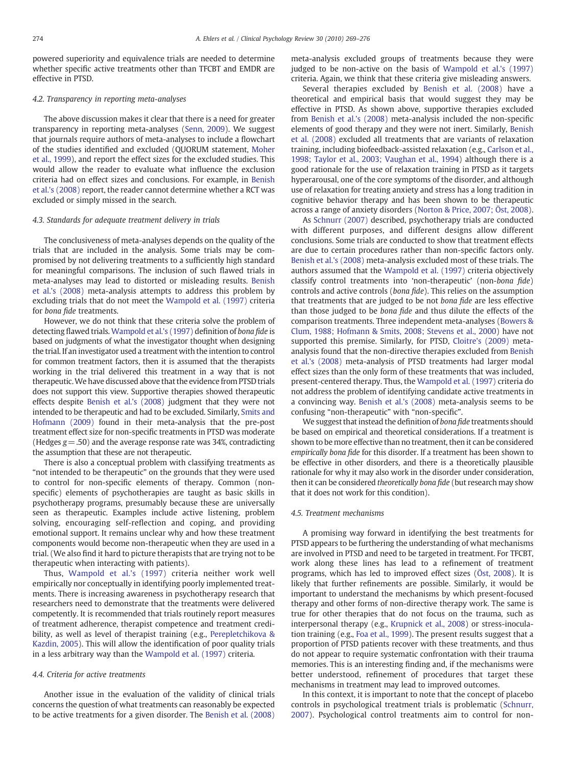powered superiority and equivalence trials are needed to determine whether specific active treatments other than TFCBT and EMDR are effective in PTSD.

#### 4.2. Transparency in reporting meta-analyses

The above discussion makes it clear that there is a need for greater transparency in reporting meta-analyses ([Senn, 2009](#page-7-0)). We suggest that journals require authors of meta-analyses to include a flowchart of the studies identified and excluded (QUORUM statement, [Moher](#page-7-0) [et al., 1999\)](#page-7-0), and report the effect sizes for the excluded studies. This would allow the reader to evaluate what influence the exclusion criteria had on effect sizes and conclusions. For example, in [Benish](#page-6-0) [et al.'s \(2008\)](#page-6-0) report, the reader cannot determine whether a RCT was excluded or simply missed in the search.

#### 4.3. Standards for adequate treatment delivery in trials

The conclusiveness of meta-analyses depends on the quality of the trials that are included in the analysis. Some trials may be compromised by not delivering treatments to a sufficiently high standard for meaningful comparisons. The inclusion of such flawed trials in meta-analyses may lead to distorted or misleading results. [Benish](#page-6-0) [et al.'s \(2008\)](#page-6-0) meta-analysis attempts to address this problem by excluding trials that do not meet the [Wampold et al. \(1997\)](#page-7-0) criteria for bona fide treatments.

However, we do not think that these criteria solve the problem of detecting flawed trials. [Wampold et al.'s \(1997\)](#page-7-0) definition of bona fide is based on judgments of what the investigator thought when designing the trial. If an investigator used a treatment with the intention to control for common treatment factors, then it is assumed that the therapists working in the trial delivered this treatment in a way that is not therapeutic.We have discussed above that the evidence from PTSD trials does not support this view. Supportive therapies showed therapeutic effects despite [Benish et al.'s \(2008\)](#page-6-0) judgment that they were not intended to be therapeutic and had to be excluded. Similarly, [Smits and](#page-7-0) [Hofmann \(2009\)](#page-7-0) found in their meta-analysis that the pre-post treatment effect size for non-specific treatments in PTSD was moderate (Hedges  $g = .50$ ) and the average response rate was 34%, contradicting the assumption that these are not therapeutic.

There is also a conceptual problem with classifying treatments as "not intended to be therapeutic" on the grounds that they were used to control for non-specific elements of therapy. Common (nonspecific) elements of psychotherapies are taught as basic skills in psychotherapy programs, presumably because these are universally seen as therapeutic. Examples include active listening, problem solving, encouraging self-reflection and coping, and providing emotional support. It remains unclear why and how these treatment components would become non-therapeutic when they are used in a trial. (We also find it hard to picture therapists that are trying not to be therapeutic when interacting with patients).

Thus, [Wampold et al.'s \(1997\)](#page-7-0) criteria neither work well empirically nor conceptually in identifying poorly implemented treatments. There is increasing awareness in psychotherapy research that researchers need to demonstrate that the treatments were delivered competently. It is recommended that trials routinely report measures of treatment adherence, therapist competence and treatment credibility, as well as level of therapist training (e.g., [Perepletchikova &](#page-7-0) [Kazdin, 2005](#page-7-0)). This will allow the identification of poor quality trials in a less arbitrary way than the [Wampold et al. \(1997\)](#page-7-0) criteria.

#### 4.4. Criteria for active treatments

Another issue in the evaluation of the validity of clinical trials concerns the question of what treatments can reasonably be expected to be active treatments for a given disorder. The [Benish et al. \(2008\)](#page-6-0)

meta-analysis excluded groups of treatments because they were judged to be non-active on the basis of [Wampold et al.'s \(1997\)](#page-7-0) criteria. Again, we think that these criteria give misleading answers.

Several therapies excluded by [Benish et al. \(2008\)](#page-6-0) have a theoretical and empirical basis that would suggest they may be effective in PTSD. As shown above, supportive therapies excluded from [Benish et al.'s \(2008\)](#page-6-0) meta-analysis included the non-specific elements of good therapy and they were not inert. Similarly, [Benish](#page-6-0) [et al. \(2008\)](#page-6-0) excluded all treatments that are variants of relaxation training, including biofeedback-assisted relaxation (e.g., [Carlson et al.,](#page-6-0) [1998; Taylor et al., 2003; Vaughan et al., 1994](#page-6-0)) although there is a good rationale for the use of relaxation training in PTSD as it targets hyperarousal, one of the core symptoms of the disorder, and although use of relaxation for treating anxiety and stress has a long tradition in cognitive behavior therapy and has been shown to be therapeutic across a range of anxiety disorders ([Norton & Price, 2007; Öst, 2008](#page-7-0)).

As [Schnurr \(2007\)](#page-7-0) described, psychotherapy trials are conducted with different purposes, and different designs allow different conclusions. Some trials are conducted to show that treatment effects are due to certain procedures rather than non-specific factors only. [Benish et al.'s \(2008\)](#page-6-0) meta-analysis excluded most of these trials. The authors assumed that the [Wampold et al. \(1997\)](#page-7-0) criteria objectively classify control treatments into 'non-therapeutic' (non-bona fide) controls and active controls (bona fide). This relies on the assumption that treatments that are judged to be not bona fide are less effective than those judged to be bona fide and thus dilute the effects of the comparison treatments. Three independent meta-analyses ([Bowers &](#page-6-0) [Clum, 1988; Hofmann & Smits, 2008; Stevens et al., 2000](#page-6-0)) have not supported this premise. Similarly, for PTSD, [Cloitre's \(2009\)](#page-6-0) metaanalysis found that the non-directive therapies excluded from [Benish](#page-6-0) [et al.'s \(2008\)](#page-6-0) meta-analysis of PTSD treatments had larger modal effect sizes than the only form of these treatments that was included, present-centered therapy. Thus, the [Wampold et al. \(1997\)](#page-7-0) criteria do not address the problem of identifying candidate active treatments in a convincing way. [Benish et al.'s \(2008\)](#page-6-0) meta-analysis seems to be confusing "non-therapeutic" with "non-specific".

We suggest that instead the definition of bona fide treatments should be based on empirical and theoretical considerations. If a treatment is shown to be more effective than no treatment, then it can be considered empirically bona fide for this disorder. If a treatment has been shown to be effective in other disorders, and there is a theoretically plausible rationale for why it may also work in the disorder under consideration, then it can be considered theoretically bona fide (but research may show that it does not work for this condition).

#### 4.5. Treatment mechanisms

A promising way forward in identifying the best treatments for PTSD appears to be furthering the understanding of what mechanisms are involved in PTSD and need to be targeted in treatment. For TFCBT, work along these lines has lead to a refinement of treatment programs, which has led to improved effect sizes [\(Öst, 2008\)](#page-7-0). It is likely that further refinements are possible. Similarly, it would be important to understand the mechanisms by which present-focused therapy and other forms of non-directive therapy work. The same is true for other therapies that do not focus on the trauma, such as interpersonal therapy (e.g., [Krupnick et al., 2008](#page-7-0)) or stress-inoculation training (e.g., [Foa et al., 1999](#page-6-0)). The present results suggest that a proportion of PTSD patients recover with these treatments, and thus do not appear to require systematic confrontation with their trauma memories. This is an interesting finding and, if the mechanisms were better understood, refinement of procedures that target these mechanisms in treatment may lead to improved outcomes.

In this context, it is important to note that the concept of placebo controls in psychological treatment trials is problematic ([Schnurr,](#page-7-0) [2007](#page-7-0)). Psychological control treatments aim to control for non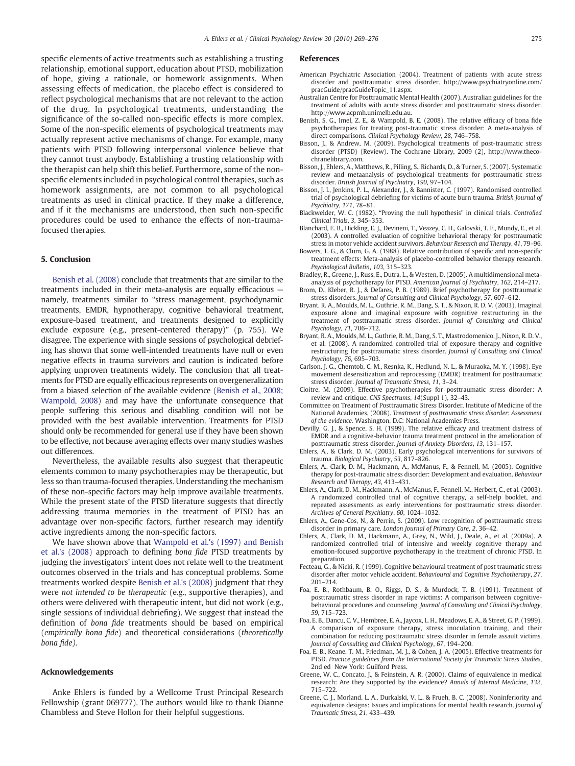<span id="page-6-0"></span>specific elements of active treatments such as establishing a trusting relationship, emotional support, education about PTSD, mobilization of hope, giving a rationale, or homework assignments. When assessing effects of medication, the placebo effect is considered to reflect psychological mechanisms that are not relevant to the action of the drug. In psychological treatments, understanding the significance of the so-called non-specific effects is more complex. Some of the non-specific elements of psychological treatments may actually represent active mechanisms of change. For example, many patients with PTSD following interpersonal violence believe that they cannot trust anybody. Establishing a trusting relationship with the therapist can help shift this belief. Furthermore, some of the nonspecific elements included in psychological control therapies, such as homework assignments, are not common to all psychological treatments as used in clinical practice. If they make a difference, and if it the mechanisms are understood, then such non-specific procedures could be used to enhance the effects of non-traumafocused therapies.

#### 5. Conclusion

Benish et al. (2008) conclude that treatments that are similar to the treatments included in their meta-analysis are equally efficacious namely, treatments similar to "stress management, psychodynamic treatments, EMDR, hypnotherapy, cognitive behavioral treatment, exposure-based treatment, and treatments designed to explicitly exclude exposure (e.g., present-centered therapy)" (p. 755). We disagree. The experience with single sessions of psychological debriefing has shown that some well-intended treatments have null or even negative effects in trauma survivors and caution is indicated before applying unproven treatments widely. The conclusion that all treatments for PTSD are equally efficacious represents on overgeneralization from a biased selection of the available evidence (Benish et al., 2008; Wampold, 2008) and may have the unfortunate consequence that people suffering this serious and disabling condition will not be provided with the best available intervention. Treatments for PTSD should only be recommended for general use if they have been shown to be effective, not because averaging effects over many studies washes out differences.

Nevertheless, the available results also suggest that therapeutic elements common to many psychotherapies may be therapeutic, but less so than trauma-focused therapies. Understanding the mechanism of these non-specific factors may help improve available treatments. While the present state of the PTSD literature suggests that directly addressing trauma memories in the treatment of PTSD has an advantage over non-specific factors, further research may identify active ingredients among the non-specific factors.

We have shown above that [Wampold et al.'s \(1997\) and Benish](#page-7-0) [et al.'s \(2008\)](#page-7-0) approach to defining bona fide PTSD treatments by judging the investigators' intent does not relate well to the treatment outcomes observed in the trials and has conceptual problems. Some treatments worked despite Benish et al.'s (2008) judgment that they were not intended to be therapeutic (e.g., supportive therapies), and others were delivered with therapeutic intent, but did not work (e.g., single sessions of individual debriefing). We suggest that instead the definition of bona fide treatments should be based on empirical (empirically bona fide) and theoretical considerations (theoretically bona fide).

### Acknowledgements

Anke Ehlers is funded by a Wellcome Trust Principal Research Fellowship (grant 069777). The authors would like to thank Dianne Chambless and Steve Hollon for their helpful suggestions.

#### References

- American Psychiatric Association (2004). Treatment of patients with acute stress disorder and posttraumatic stress disorder. http://www.psychiatryonline.com/ pracGuide/pracGuideTopic\_11.aspx.
- Australian Centre for Posttraumatic Mental Health (2007). Australian guidelines for the treatment of adults with acute stress disorder and posttraumatic stress disorder. http://www.acpmh.unimelb.edu.au.
- Benish, S. G., Imel, Z. E., & Wampold, B. E. (2008). The relative efficacy of bona fide psychotherapies for treating post-traumatic stress disorder: A meta-analysis of direct comparisons. Clinical Psychology Review, 28, 746–758.
- Bisson, J., & Andrew, M. (2009). Psychological treatments of post-traumatic stress disorder (PTSD) (Review). The Cochrane Library, 2009 (2), http://www.thecochranelibrary.com.
- Bisson, J., Ehlers, A., Matthews, R., Pilling, S., Richards, D., & Turner, S. (2007). Systematic review and metaanalysis of psychological treatments for posttraumatic stress disorder. British Journal of Psychiatry, 190, 97–104.
- Bisson, J. I., Jenkins, P. L., Alexander, J., & Bannister, C. (1997). Randomised controlled trial of psychological debriefing for victims of acute burn trauma. British Journal of Psychiatry, 171, 78–81.
- Blackwelder, W. C. (1982). "Proving the null hypothesis" in clinical trials. Controlled Clinical Trials, 3, 345–353.
- Blanchard, E. B., Hickling, E. J., Devineni, T., Veazey, C. H., Galovski, T. E., Mundy, E., et al. (2003). A controlled evaluation of cognitive behavioral therapy for posttraumatic stress in motor vehicle accident survivors. Behaviour Research and Therapy, 41, 79–96.
- Bowers, T. G., & Clum, G. A. (1988). Relative contribution of specific and non-specific treatment effects: Meta-analysis of placebo-controlled behavior therapy research. Psychological Bulletin, 103, 315–323.
- Bradley, R., Greene, J., Russ, E., Dutra, L., & Westen, D. (2005). A multidimensional metaanalysis of psychotherapy for PTSD. American Journal of Psychiatry, 162, 214–217.
- Brom, D., Kleber, R. J., & Defares, P. B. (1989). Brief psychotherapy for posttraumatic stress disorders. Journal of Consulting and Clinical Psychology, 57, 607–612.
- Bryant, R. A., Moulds, M. L., Guthrie, R. M., Dang, S. T., & Nixon, R. D. V. (2003). Imaginal exposure alone and imaginal exposure with cognitive restructuring in the treatment of posttraumatic stress disorder. Journal of Consulting and Clinical Psychology, 71, 706–712.
- Bryant, R. A., Moulds, M. L., Guthrie, R. M., Dang, S. T., Mastrodomenico, J., Nixon, R. D. V., et al. (2008). A randomized controlled trial of exposure therapy and cognitive restructuring for posttraumatic stress disorder. Journal of Consulting and Clinical Psychology, 76, 695–703.
- Carlson, J. G., Chemtob, C. M., Resnka, K., Hedlund, N. L., & Muraoka, M. Y. (1998). Eye movement desensitization and reprocessing (EMDR) treatment for posttraumatic stress disorder. Journal of Traumatic Stress, 11, 3–24.
- Cloitre, M. (2009). Effective psychotherapies for posttraumatic stress disorder: A review and critique. CNS Spectrums, 14(Suppl 1), 32–43.
- Committee on Treatment of Posttraumatic Stress Disorder, Institute of Medicine of the National Academies. (2008). Treatment of posttraumatic stress disorder: Assessment of the evidence. Washington, D.C: National Academies Press.
- Devilly, G. J., & Spence, S. H. (1999). The relative efficacy and treatment distress of EMDR and a cognitive-behavior trauma treatment protocol in the amelioration of posttraumatic stress disorder. Journal of Anxiety Disorders, 13, 131–157.
- Ehlers, A., & Clark, D. M. (2003). Early psychological interventions for survivors of trauma. Biological Psychiatry, 53, 817–826.
- Ehlers, A., Clark, D. M., Hackmann, A., McManus, F., & Fennell, M. (2005). Cognitive therapy for post-traumatic stress disorder: Development and evaluation. Behaviour Research and Therapy, 43, 413–431.
- Ehlers, A., Clark, D. M., Hackmann, A., McManus, F., Fennell, M., Herbert, C., et al. (2003). A randomized controlled trial of cognitive therapy, a self-help booklet, and repeated assessments as early interventions for posttraumatic stress disorder. Archives of General Psychiatry, 60, 1024–1032.
- Ehlers, A., Gene-Cos, N., & Perrin, S. (2009). Low recognition of posttraumatic stress disorder in primary care. London Journal of Primary Care, 2, 36–42.
- Ehlers, A., Clark, D. M., Hackmann, A., Grey, N., Wild, J., Deale, A., et al. (2009a). A randomized controlled trial of intensive and weekly cognitive therapy and emotion-focused supportive psychotherapy in the treatment of chronic PTSD. In preparation.
- Fecteau, G., & Nicki, R. (1999). Cognitive behavioural treatment of post traumatic stress disorder after motor vehicle accident. Behavioural and Cognitive Psychotherapy, 27, 201–214.
- Foa, E. B., Rothbaum, B. O., Riggs, D. S., & Murdock, T. B. (1991). Treatment of posttraumatic stress disorder in rape victims: A comparison between cognitivebehavioral procedures and counseling. Journal of Consulting and Clinical Psychology, 59, 715–723.
- Foa, E. B., Dancu, C. V., Hembree, E. A., Jaycox, L. H., Meadows, E. A., & Street, G. P. (1999). A comparison of exposure therapy, stress inoculation training, and their combination for reducing posttraumatic stress disorder in female assault victims. Journal of Consulting and Clinical Psychology, 67, 194–200.
- Foa, E. B., Keane, T. M., Friedman, M. J., & Cohen, J. A. (2005). Effective treatments for PTSD. Practice guidelines from the International Society for Traumatic Stress Studies, 2nd ed New York: Guilford Press.
- Greene, W. C., Concato, J., & Feinstein, A. R. (2000). Claims of equivalence in medical research: Are they supported by the evidence? Annals of Internal Medicine, 132, 715–722.
- Greene, C. J., Morland, L. A., Durkalski, V. L., & Frueh, B. C. (2008). Noninferiority and equivalence designs: Issues and implications for mental health research. Journal of Traumatic Stress, 21, 433–439.